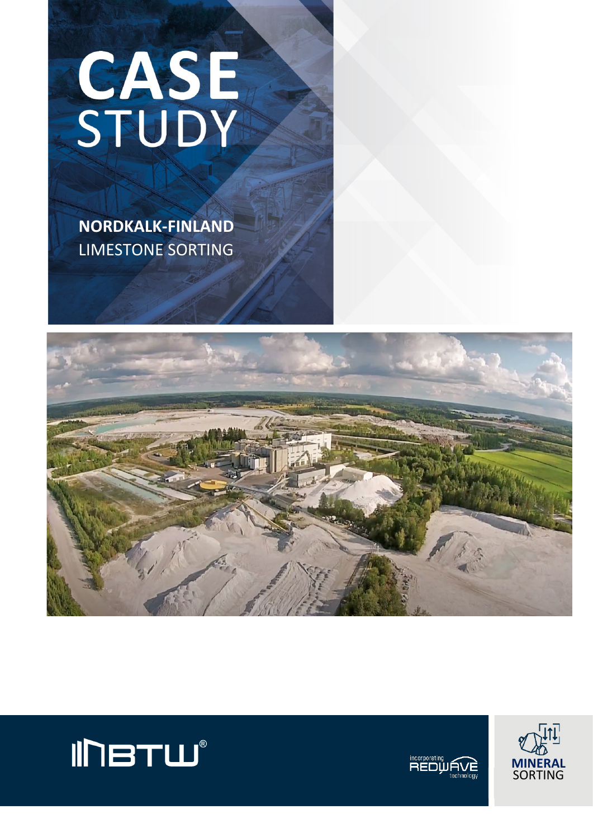

 **NORDKALK-FINLAND** LIMESTONE SORTING







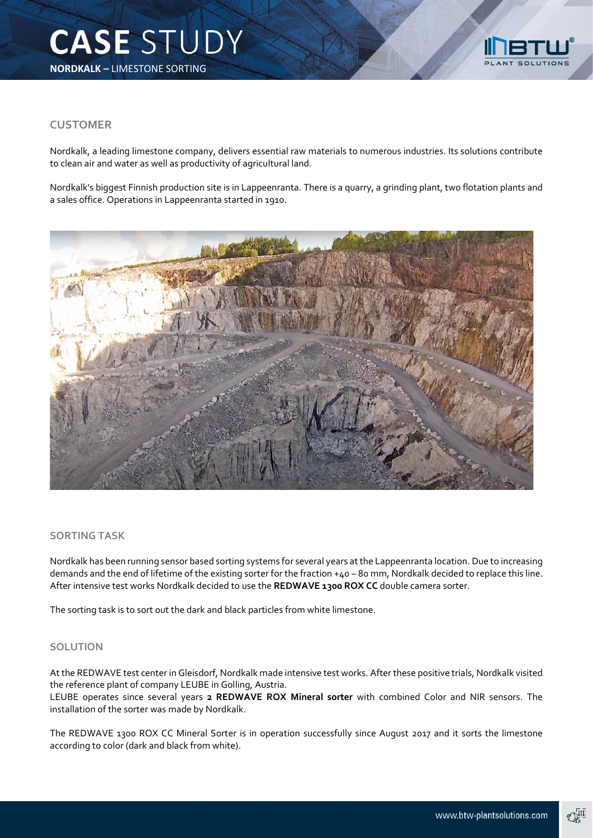

## **CUSTOMER**

Nordkalk, a leading limestone company, delivers essential raw materials to numerous industries. Its solutions contribute to clean air and water as well as productivity of agricultural land.

Nordkalk's biggest Finnish production site is in Lappeenranta. There is a quarry, a grinding plant, two flotation plants and a sales office. Operations in Lappeenranta started in 1910.



## **SORTING TASK**

Nordkalk has been running sensor based sorting systems for several years at the Lappeenranta location. Due to increasing demands and the end of lifetime of the existing sorter for the fraction +40 – 80 mm, Nordkalk decided to replace this line. After intensive test works Nordkalk decided to use the **REDWAVE 1300 ROX CC** double camera sorter.

The sorting task is to sort out the dark and black particles from white limestone.

## **SOLUTION**

At the REDWAVE test center in Gleisdorf, Nordkalk made intensive test works. After these positive trials, Nordkalk visited the reference plant of company LEUBE in Golling, Austria.

LEUBE operates since several years **2 REDWAVE ROX Mineral sorter** with combined Color and NIR sensors. The installation of the sorter was made by Nordkalk.

The REDWAVE 1300 ROX CC Mineral Sorter is in operation successfully since August 2017 and it sorts the limestone according to color (dark and black from white).